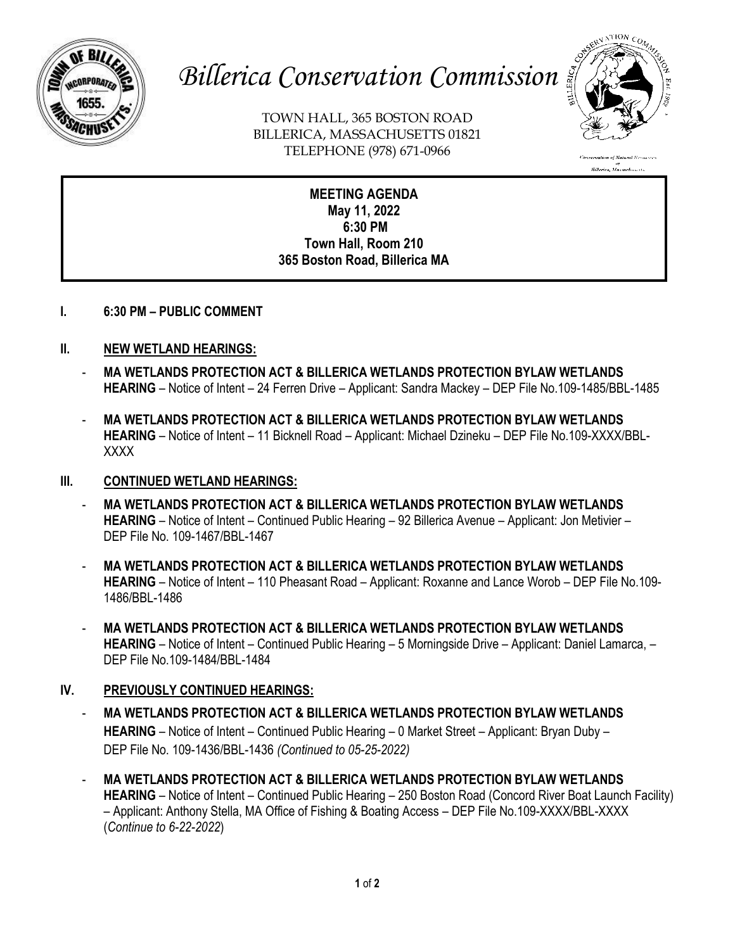

# *Billerica Conservation Commission*

TOWN HALL, 365 BOSTON ROAD BILLERICA, MASSACHUSETTS 01821 TELEPHONE (978) 671-0966



.<br>High of Natural Beso. n<br>Billerica, Massachusetts

**MEETING AGENDA May 11, 2022 6:30 PM Town Hall, Room 210 365 Boston Road, Billerica MA**

**I. 6:30 PM – PUBLIC COMMENT**

## **II. NEW WETLAND HEARINGS:**

- **MA WETLANDS PROTECTION ACT & BILLERICA WETLANDS PROTECTION BYLAW WETLANDS HEARING** – Notice of Intent – 24 Ferren Drive – Applicant: Sandra Mackey – DEP File No.109-1485/BBL-1485
- **MA WETLANDS PROTECTION ACT & BILLERICA WETLANDS PROTECTION BYLAW WETLANDS HEARING** – Notice of Intent – 11 Bicknell Road – Applicant: Michael Dzineku – DEP File No.109-XXXX/BBL-XXXX

### **III. CONTINUED WETLAND HEARINGS:**

- **MA WETLANDS PROTECTION ACT & BILLERICA WETLANDS PROTECTION BYLAW WETLANDS HEARING** – Notice of Intent – Continued Public Hearing – 92 Billerica Avenue – Applicant: Jon Metivier – DEP File No. 109-1467/BBL-1467
- **MA WETLANDS PROTECTION ACT & BILLERICA WETLANDS PROTECTION BYLAW WETLANDS HEARING** – Notice of Intent – 110 Pheasant Road – Applicant: Roxanne and Lance Worob – DEP File No.109- 1486/BBL-1486
- **MA WETLANDS PROTECTION ACT & BILLERICA WETLANDS PROTECTION BYLAW WETLANDS HEARING** – Notice of Intent – Continued Public Hearing – 5 Morningside Drive – Applicant: Daniel Lamarca, – DEP File No.109-1484/BBL-1484

## **IV. PREVIOUSLY CONTINUED HEARINGS:**

- **MA WETLANDS PROTECTION ACT & BILLERICA WETLANDS PROTECTION BYLAW WETLANDS HEARING** – Notice of Intent – Continued Public Hearing – 0 Market Street – Applicant: Bryan Duby – DEP File No. 109-1436/BBL-1436 *(Continued to 05-25-2022)*
- **MA WETLANDS PROTECTION ACT & BILLERICA WETLANDS PROTECTION BYLAW WETLANDS HEARING** – Notice of Intent – Continued Public Hearing – 250 Boston Road (Concord River Boat Launch Facility) – Applicant: Anthony Stella, MA Office of Fishing & Boating Access – DEP File No.109-XXXX/BBL-XXXX (*Continue to 6-22-2022*)